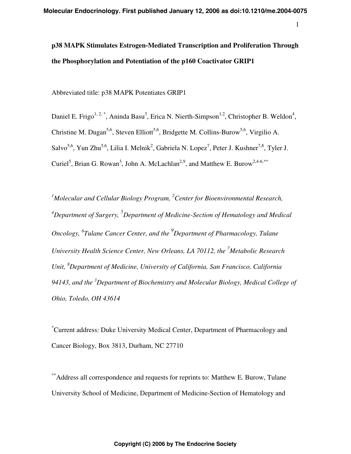1

# **p38 MAPK Stimulates Estrogen-Mediated Transcription and Proliferation Through the Phosphorylation and Potentiation of the p160 Coactivator GRIP1**

Abbreviated title: p38 MAPK Potentiates GRIP1

Daniel E. Frigo<sup>1, 2,\*</sup>, Aninda Basu<sup>3</sup>, Erica N. Nierth-Simpson<sup>1,2</sup>, Christopher B. Weldon<sup>4</sup>, Christine M. Dugan<sup>5,6</sup>, Steven Elliott<sup>5,6</sup>, Bridgette M. Collins-Burow<sup>5,6</sup>, Virgilio A. Salvo<sup>5,6</sup>, Yun Zhu<sup>5,6</sup>, Lilia I. Melnik<sup>2</sup>, Gabriela N. Lopez<sup>7</sup>, Peter J. Kushner<sup>7,8</sup>, Tyler J. Curiel<sup>5</sup>, Brian G. Rowan<sup>3</sup>, John A. McLachlan<sup>2,9</sup>, and Matthew E. Burow<sup>2,4-6,\*\*</sup>

<sup>1</sup>Molecular and Cellular Biology Program, <sup>2</sup> Center for Bioenvironmental Research, <sup>4</sup>Department of Surgery, <sup>5</sup>Department of Medicine-Section of Hematology and Medical *Oncology, 6 Tulane Cancer Center, and the <sup>9</sup> Department of Pharmacology, Tulane University Health Science Center, New Orleans, LA 70112, the <sup>7</sup> Metabolic Research*  Unit, <sup>8</sup>Department of Medicine, University of California, San Francisco, California *94143, and the <sup>3</sup> Department of Biochemistry and Molecular Biology, Medical College of Ohio, Toledo, OH 43614* 

\* Current address: Duke University Medical Center, Department of Pharmacology and Cancer Biology, Box 3813, Durham, NC 27710

\*\* Address all correspondence and requests for reprints to: Matthew E. Burow, Tulane University School of Medicine, Department of Medicine-Section of Hematology and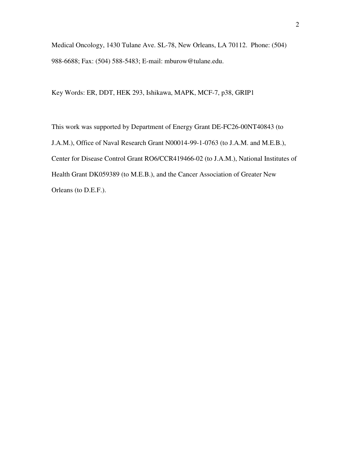Medical Oncology, 1430 Tulane Ave. SL-78, New Orleans, LA 70112. Phone: (504) 988-6688; Fax: (504) 588-5483; E-mail: mburow@tulane.edu.

Key Words: ER, DDT, HEK 293, Ishikawa, MAPK, MCF-7, p38, GRIP1

This work was supported by Department of Energy Grant DE-FC26-00NT40843 (to J.A.M.), Office of Naval Research Grant N00014-99-1-0763 (to J.A.M. and M.E.B.), Center for Disease Control Grant RO6/CCR419466-02 (to J.A.M.), National Institutes of Health Grant DK059389 (to M.E.B.), and the Cancer Association of Greater New Orleans (to D.E.F.).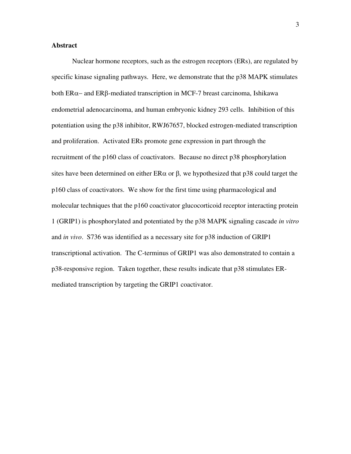# **Abstract**

Nuclear hormone receptors, such as the estrogen receptors (ERs), are regulated by specific kinase signaling pathways. Here, we demonstrate that the p38 MAPK stimulates both  $ER\alpha$ – and  $ER\beta$ -mediated transcription in MCF-7 breast carcinoma, Ishikawa endometrial adenocarcinoma, and human embryonic kidney 293 cells. Inhibition of this potentiation using the p38 inhibitor, RWJ67657, blocked estrogen-mediated transcription and proliferation. Activated ERs promote gene expression in part through the recruitment of the p160 class of coactivators. Because no direct p38 phosphorylation sites have been determined on either  $ER\alpha$  or  $\beta$ , we hypothesized that p38 could target the p160 class of coactivators. We show for the first time using pharmacological and molecular techniques that the p160 coactivator glucocorticoid receptor interacting protein 1 (GRIP1) is phosphorylated and potentiated by the p38 MAPK signaling cascade *in vitro* and *in vivo*. S736 was identified as a necessary site for p38 induction of GRIP1 transcriptional activation. The C-terminus of GRIP1 was also demonstrated to contain a p38-responsive region. Taken together, these results indicate that p38 stimulates ERmediated transcription by targeting the GRIP1 coactivator.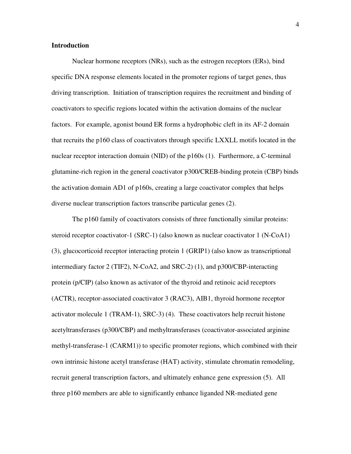# **Introduction**

Nuclear hormone receptors (NRs), such as the estrogen receptors (ERs), bind specific DNA response elements located in the promoter regions of target genes, thus driving transcription. Initiation of transcription requires the recruitment and binding of coactivators to specific regions located within the activation domains of the nuclear factors. For example, agonist bound ER forms a hydrophobic cleft in its AF-2 domain that recruits the p160 class of coactivators through specific LXXLL motifs located in the nuclear receptor interaction domain (NID) of the p160s (1). Furthermore, a C-terminal glutamine-rich region in the general coactivator p300/CREB-binding protein (CBP) binds the activation domain AD1 of p160s, creating a large coactivator complex that helps diverse nuclear transcription factors transcribe particular genes (2).

The p160 family of coactivators consists of three functionally similar proteins: steroid receptor coactivator-1 (SRC-1) (also known as nuclear coactivator 1 (N-CoA1) (3), glucocorticoid receptor interacting protein 1 (GRIP1) (also know as transcriptional intermediary factor 2 (TIF2), N-CoA2, and SRC-2) (1), and p300/CBP-interacting protein (p/CIP) (also known as activator of the thyroid and retinoic acid receptors (ACTR), receptor-associated coactivator 3 (RAC3), AIB1, thyroid hormone receptor activator molecule 1 (TRAM-1), SRC-3) (4). These coactivators help recruit histone acetyltransferases (p300/CBP) and methyltransferases (coactivator-associated arginine methyl-transferase-1 (CARM1)) to specific promoter regions, which combined with their own intrinsic histone acetyl transferase (HAT) activity, stimulate chromatin remodeling, recruit general transcription factors, and ultimately enhance gene expression (5). All three p160 members are able to significantly enhance liganded NR-mediated gene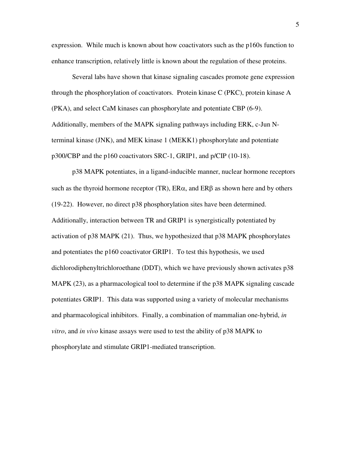expression. While much is known about how coactivators such as the p160s function to enhance transcription, relatively little is known about the regulation of these proteins.

Several labs have shown that kinase signaling cascades promote gene expression through the phosphorylation of coactivators. Protein kinase C (PKC), protein kinase A (PKA), and select CaM kinases can phosphorylate and potentiate CBP (6-9). Additionally, members of the MAPK signaling pathways including ERK, c-Jun Nterminal kinase (JNK), and MEK kinase 1 (MEKK1) phosphorylate and potentiate p300/CBP and the p160 coactivators SRC-1, GRIP1, and p/CIP (10-18).

p38 MAPK potentiates, in a ligand-inducible manner, nuclear hormone receptors such as the thyroid hormone receptor (TR),  $ER\alpha$ , and  $ER\beta$  as shown here and by others (19-22). However, no direct p38 phosphorylation sites have been determined. Additionally, interaction between TR and GRIP1 is synergistically potentiated by activation of p38 MAPK (21). Thus, we hypothesized that p38 MAPK phosphorylates and potentiates the p160 coactivator GRIP1. To test this hypothesis, we used dichlorodiphenyltrichloroethane (DDT), which we have previously shown activates p38 MAPK (23), as a pharmacological tool to determine if the p38 MAPK signaling cascade potentiates GRIP1. This data was supported using a variety of molecular mechanisms and pharmacological inhibitors. Finally, a combination of mammalian one-hybrid, *in vitro*, and *in vivo* kinase assays were used to test the ability of p38 MAPK to phosphorylate and stimulate GRIP1-mediated transcription.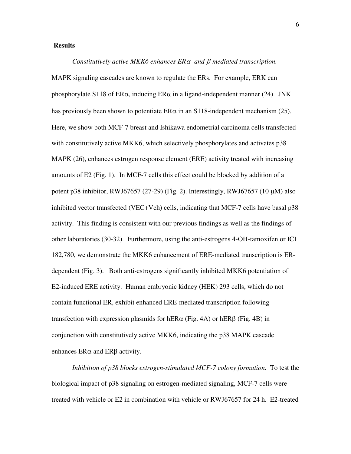# **Results**

*Constitutively active MKK6 enhances ERα- and β-mediated transcription.* MAPK signaling cascades are known to regulate the ERs. For example, ERK can phosphorylate S118 of ER $\alpha$ , inducing ER $\alpha$  in a ligand-independent manner (24). JNK has previously been shown to potentiate  $ER\alpha$  in an S118-independent mechanism (25). Here, we show both MCF-7 breast and Ishikawa endometrial carcinoma cells transfected with constitutively active MKK6, which selectively phosphorylates and activates p38 MAPK (26), enhances estrogen response element (ERE) activity treated with increasing amounts of E2 (Fig. 1). In MCF-7 cells this effect could be blocked by addition of a potent p38 inhibitor, RWJ67657 (27-29) (Fig. 2). Interestingly, RWJ67657 (10  $\mu$ M) also inhibited vector transfected (VEC+Veh) cells, indicating that MCF-7 cells have basal p38 activity. This finding is consistent with our previous findings as well as the findings of other laboratories (30-32). Furthermore, using the anti-estrogens 4-OH-tamoxifen or ICI 182,780, we demonstrate the MKK6 enhancement of ERE-mediated transcription is ERdependent (Fig. 3). Both anti-estrogens significantly inhibited MKK6 potentiation of E2-induced ERE activity. Human embryonic kidney (HEK) 293 cells, which do not contain functional ER, exhibit enhanced ERE-mediated transcription following transfection with expression plasmids for hER $\alpha$  (Fig. 4A) or hER $\beta$  (Fig. 4B) in conjunction with constitutively active MKK6, indicating the p38 MAPK cascade enhances  $ER\alpha$  and  $ER\beta$  activity.

*Inhibition of p38 blocks estrogen-stimulated MCF-7 colony formation.* To test the biological impact of p38 signaling on estrogen-mediated signaling, MCF-7 cells were treated with vehicle or E2 in combination with vehicle or RWJ67657 for 24 h. E2-treated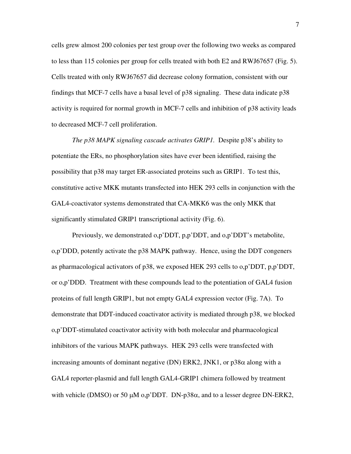cells grew almost 200 colonies per test group over the following two weeks as compared to less than 115 colonies per group for cells treated with both E2 and RWJ67657 (Fig. 5). Cells treated with only RWJ67657 did decrease colony formation, consistent with our findings that MCF-7 cells have a basal level of p38 signaling. These data indicate p38 activity is required for normal growth in MCF-7 cells and inhibition of p38 activity leads to decreased MCF-7 cell proliferation.

*The p38 MAPK signaling cascade activates GRIP1.*Despite p38's ability to potentiate the ERs, no phosphorylation sites have ever been identified, raising the possibility that p38 may target ER-associated proteins such as GRIP1. To test this, constitutive active MKK mutants transfected into HEK 293 cells in conjunction with the GAL4-coactivator systems demonstrated that CA-MKK6 was the only MKK that significantly stimulated GRIP1 transcriptional activity (Fig. 6).

Previously, we demonstrated o,p'DDT, p,p'DDT, and o,p'DDT's metabolite, o,p'DDD, potently activate the p38 MAPK pathway. Hence, using the DDT congeners as pharmacological activators of p38, we exposed HEK 293 cells to o,p'DDT, p,p'DDT, or o,p'DDD. Treatment with these compounds lead to the potentiation of GAL4 fusion proteins of full length GRIP1, but not empty GAL4 expression vector (Fig. 7A). To demonstrate that DDT-induced coactivator activity is mediated through p38, we blocked o,p'DDT-stimulated coactivator activity with both molecular and pharmacological inhibitors of the various MAPK pathways. HEK 293 cells were transfected with increasing amounts of dominant negative (DN) ERK2, JNK1, or  $p38\alpha$  along with a GAL4 reporter-plasmid and full length GAL4-GRIP1 chimera followed by treatment with vehicle (DMSO) or 50  $\mu$ M o,p'DDT. DN-p38 $\alpha$ , and to a lesser degree DN-ERK2,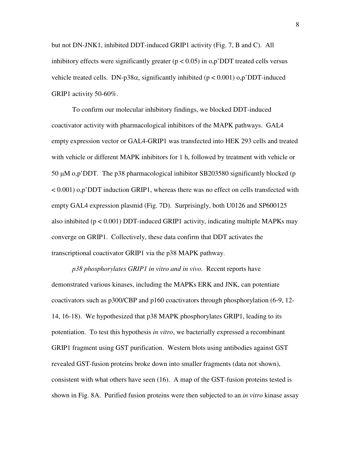but not DN-JNK1, inhibited DDT-induced GRIP1 activity (Fig. 7, B and C). All inhibitory effects were significantly greater  $(p < 0.05)$  in  $o, p'$ DDT treated cells versus vehicle treated cells. DN-p38 $\alpha$ , significantly inhibited (p < 0.001)  $\alpha$ , p'DDT-induced GRIP1 activity 50-60%.

To confirm our molecular inhibitory findings, we blocked DDT-induced coactivator activity with pharmacological inhibitors of the MAPK pathways. GAL4 empty expression vector or GAL4-GRIP1 was transfected into HEK 293 cells and treated with vehicle or different MAPK inhibitors for 1 h, followed by treatment with vehicle or 50 µM o,p'DDT. The p38 pharmacological inhibitor SB203580 significantly blocked (p  $< 0.001$ )  $<sub>o,p</sub>$ <sup>'</sup>DDT induction GRIP1, whereas there was no effect on cells transfected with</sub> empty GAL4 expression plasmid (Fig. 7D). Surprisingly, both U0126 and SP600125 also inhibited ( $p < 0.001$ ) DDT-induced GRIP1 activity, indicating multiple MAPKs may converge on GRIP1. Collectively, these data confirm that DDT activates the transcriptional coactivator GRIP1 via the p38 MAPK pathway.

*p38 phosphorylates GRIP1 in vitro and in vivo.*Recent reports have demonstrated various kinases, including the MAPKs ERK and JNK, can potentiate coactivators such as p300/CBP and p160 coactivators through phosphorylation (6-9, 12- 14, 16-18). We hypothesized that p38 MAPK phosphorylates GRIP1, leading to its potentiation. To test this hypothesis *in vitro*, we bacterially expressed a recombinant GRIP1 fragment using GST purification. Western blots using antibodies against GST revealed GST-fusion proteins broke down into smaller fragments (data not shown), consistent with what others have seen (16). A map of the GST-fusion proteins tested is shown in Fig. 8A. Purified fusion proteins were then subjected to an *in vitro* kinase assay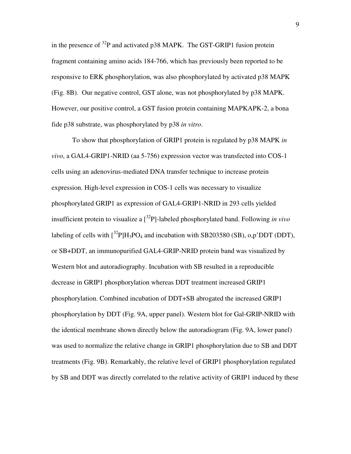in the presence of  $^{32}P$  and activated p38 MAPK. The GST-GRIP1 fusion protein fragment containing amino acids 184-766, which has previously been reported to be responsive to ERK phosphorylation, was also phosphorylated by activated p38 MAPK (Fig. 8B). Our negative control, GST alone, was not phosphorylated by p38 MAPK. However, our positive control, a GST fusion protein containing MAPKAPK-2, a bona fide p38 substrate, was phosphorylated by p38 *in vitro*.

To show that phosphorylation of GRIP1 protein is regulated by p38 MAPK *in vivo*, a GAL4-GRIP1-NRID (aa 5-756) expression vector was transfected into COS-1 cells using an adenovirus-mediated DNA transfer technique to increase protein expression. High-level expression in COS-1 cells was necessary to visualize phosphorylated GRIP1 as expression of GAL4-GRIP1-NRID in 293 cells yielded insufficient protein to visualize a [<sup>32</sup> P]-labeled phosphorylated band. Following *in vivo* labeling of cells with  $\left[\right]^{32}P\right]H_3PO_4$  and incubation with SB203580 (SB), o,p'DDT (DDT), or SB+DDT, an immunopurified GAL4-GRIP-NRID protein band was visualized by Western blot and autoradiography. Incubation with SB resulted in a reproducible decrease in GRIP1 phosphorylation whereas DDT treatment increased GRIP1 phosphorylation. Combined incubation of DDT+SB abrogated the increased GRIP1 phosphorylation by DDT (Fig. 9A, upper panel). Western blot for Gal-GRIP-NRID with the identical membrane shown directly below the autoradiogram (Fig. 9A, lower panel) was used to normalize the relative change in GRIP1 phosphorylation due to SB and DDT treatments (Fig. 9B). Remarkably, the relative level of GRIP1 phosphorylation regulated by SB and DDT was directly correlated to the relative activity of GRIP1 induced by these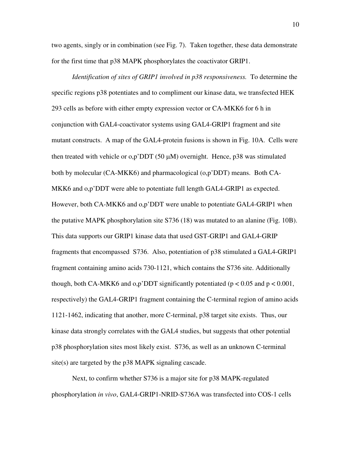two agents, singly or in combination (see Fig. 7). Taken together, these data demonstrate for the first time that p38 MAPK phosphorylates the coactivator GRIP1.

*Identification of sites of GRIP1 involved in p38 responsiveness.*To determine the specific regions p38 potentiates and to compliment our kinase data, we transfected HEK 293 cells as before with either empty expression vector or CA-MKK6 for 6 h in conjunction with GAL4-coactivator systems using GAL4-GRIP1 fragment and site mutant constructs. A map of the GAL4-protein fusions is shown in Fig. 10A. Cells were then treated with vehicle or  $o,p'DDT (50 \mu M)$  overnight. Hence, p38 was stimulated both by molecular (CA-MKK6) and pharmacological (o,p'DDT) means. Both CA-MKK6 and o,p'DDT were able to potentiate full length GAL4-GRIP1 as expected. However, both CA-MKK6 and o,p'DDT were unable to potentiate GAL4-GRIP1 when the putative MAPK phosphorylation site S736 (18) was mutated to an alanine (Fig. 10B). This data supports our GRIP1 kinase data that used GST-GRIP1 and GAL4-GRIP fragments that encompassed S736. Also, potentiation of p38 stimulated a GAL4-GRIP1 fragment containing amino acids 730-1121, which contains the S736 site. Additionally though, both CA-MKK6 and  $o,p'$ DDT significantly potentiated ( $p < 0.05$  and  $p < 0.001$ , respectively) the GAL4-GRIP1 fragment containing the C-terminal region of amino acids 1121-1462, indicating that another, more C-terminal, p38 target site exists. Thus, our kinase data strongly correlates with the GAL4 studies, but suggests that other potential p38 phosphorylation sites most likely exist. S736, as well as an unknown C-terminal site(s) are targeted by the p38 MAPK signaling cascade.

Next, to confirm whether S736 is a major site for p38 MAPK-regulated phosphorylation *in vivo*, GAL4-GRIP1-NRID-S736A was transfected into COS-1 cells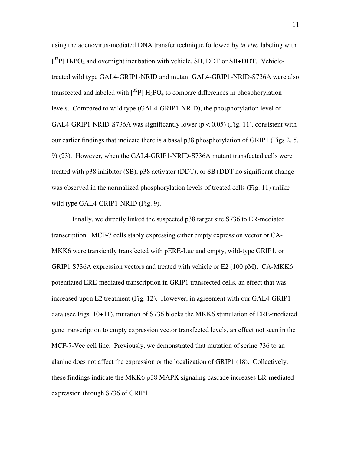using the adenovirus-mediated DNA transfer technique followed by *in vivo* labeling with  $[^{32}P]$  H<sub>3</sub>PO<sub>4</sub> and overnight incubation with vehicle, SB, DDT or SB+DDT. Vehicletreated wild type GAL4-GRIP1-NRID and mutant GAL4-GRIP1-NRID-S736A were also transfected and labeled with  $\left[ \frac{32}{2}P \right] H_3PO_4$  to compare differences in phosphorylation levels. Compared to wild type (GAL4-GRIP1-NRID), the phosphorylation level of GAL4-GRIP1-NRID-S736A was significantly lower ( $p < 0.05$ ) (Fig. 11), consistent with our earlier findings that indicate there is a basal p38 phosphorylation of GRIP1 (Figs 2, 5, 9) (23). However, when the GAL4-GRIP1-NRID-S736A mutant transfected cells were treated with p38 inhibitor (SB), p38 activator (DDT), or SB+DDT no significant change was observed in the normalized phosphorylation levels of treated cells (Fig. 11) unlike wild type GAL4-GRIP1-NRID (Fig. 9).

Finally, we directly linked the suspected p38 target site S736 to ER-mediated transcription.MCF**-**7 cells stably expressing either empty expression vector or CA-MKK6 were transiently transfected with pERE-Luc and empty, wild-type GRIP1, or GRIP1 S736A expression vectors and treated with vehicle or E2 (100 pM). CA-MKK6 potentiated ERE-mediated transcription in GRIP1 transfected cells, an effect that was increased upon E2 treatment (Fig. 12). However, in agreement with our GAL4-GRIP1 data (see Figs. 10+11), mutation of S736 blocks the MKK6 stimulation of ERE-mediated gene transcription to empty expression vector transfected levels, an effect not seen in the MCF-7-Vec cell line. Previously, we demonstrated that mutation of serine 736 to an alanine does not affect the expression or the localization of GRIP1 (18). Collectively, these findings indicate the MKK6-p38 MAPK signaling cascade increases ER-mediated expression through S736 of GRIP1.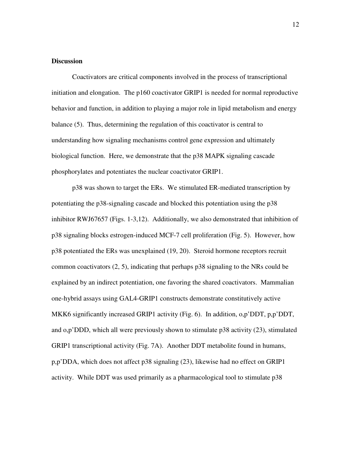# **Discussion**

Coactivators are critical components involved in the process of transcriptional initiation and elongation. The p160 coactivator GRIP1 is needed for normal reproductive behavior and function, in addition to playing a major role in lipid metabolism and energy balance (5). Thus, determining the regulation of this coactivator is central to understanding how signaling mechanisms control gene expression and ultimately biological function. Here, we demonstrate that the p38 MAPK signaling cascade phosphorylates and potentiates the nuclear coactivator GRIP1.

p38 was shown to target the ERs. We stimulated ER-mediated transcription by potentiating the p38-signaling cascade and blocked this potentiation using the p38 inhibitor RWJ67657 (Figs. 1-3,12). Additionally, we also demonstrated that inhibition of p38 signaling blocks estrogen-induced MCF-7 cell proliferation (Fig. 5). However, how p38 potentiated the ERs was unexplained (19, 20). Steroid hormone receptors recruit common coactivators (2, 5), indicating that perhaps p38 signaling to the NRs could be explained by an indirect potentiation, one favoring the shared coactivators. Mammalian one-hybrid assays using GAL4-GRIP1 constructs demonstrate constitutively active MKK6 significantly increased GRIP1 activity (Fig. 6). In addition, o,p'DDT, p,p'DDT, and o,p'DDD, which all were previously shown to stimulate p38 activity (23), stimulated GRIP1 transcriptional activity (Fig. 7A). Another DDT metabolite found in humans, p,p'DDA, which does not affect p38 signaling (23), likewise had no effect on GRIP1 activity. While DDT was used primarily as a pharmacological tool to stimulate p38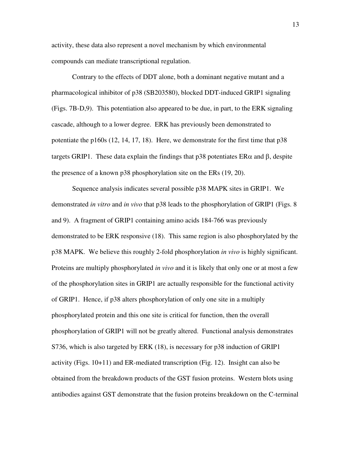activity, these data also represent a novel mechanism by which environmental compounds can mediate transcriptional regulation.

Contrary to the effects of DDT alone, both a dominant negative mutant and a pharmacological inhibitor of p38 (SB203580), blocked DDT-induced GRIP1 signaling (Figs. 7B-D,9). This potentiation also appeared to be due, in part, to the ERK signaling cascade, although to a lower degree. ERK has previously been demonstrated to potentiate the p160s (12, 14, 17, 18). Here, we demonstrate for the first time that p38 targets GRIP1. These data explain the findings that  $p38$  potentiates  $ER\alpha$  and  $\beta$ , despite the presence of a known p38 phosphorylation site on the ERs (19, 20).

Sequence analysis indicates several possible p38 MAPK sites in GRIP1. We demonstrated *in vitro* and *in vivo* that p38 leads to the phosphorylation of GRIP1 (Figs. 8 and 9). A fragment of GRIP1 containing amino acids 184-766 was previously demonstrated to be ERK responsive (18). This same region is also phosphorylated by the p38 MAPK. We believe this roughly 2-fold phosphorylation *in vivo* is highly significant. Proteins are multiply phosphorylated *in vivo* and it is likely that only one or at most a few of the phosphorylation sites in GRIP1 are actually responsible for the functional activity of GRIP1. Hence, if p38 alters phosphorylation of only one site in a multiply phosphorylated protein and this one site is critical for function, then the overall phosphorylation of GRIP1 will not be greatly altered. Functional analysis demonstrates S736, which is also targeted by ERK (18), is necessary for p38 induction of GRIP1 activity (Figs. 10+11) and ER-mediated transcription (Fig. 12). Insight can also be obtained from the breakdown products of the GST fusion proteins. Western blots using antibodies against GST demonstrate that the fusion proteins breakdown on the C-terminal

13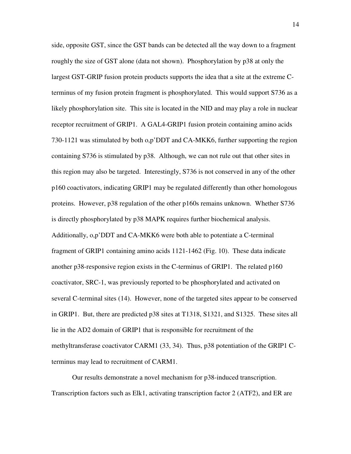side, opposite GST, since the GST bands can be detected all the way down to a fragment roughly the size of GST alone (data not shown). Phosphorylation by p38 at only the largest GST-GRIP fusion protein products supports the idea that a site at the extreme Cterminus of my fusion protein fragment is phosphorylated. This would support S736 as a likely phosphorylation site. This site is located in the NID and may play a role in nuclear receptor recruitment of GRIP1. A GAL4-GRIP1 fusion protein containing amino acids 730-1121 was stimulated by both o,p'DDT and CA-MKK6, further supporting the region containing S736 is stimulated by p38. Although, we can not rule out that other sites in this region may also be targeted. Interestingly, S736 is not conserved in any of the other p160 coactivators, indicating GRIP1 may be regulated differently than other homologous proteins. However, p38 regulation of the other p160s remains unknown. Whether S736 is directly phosphorylated by p38 MAPK requires further biochemical analysis. Additionally, o,p'DDT and CA-MKK6 were both able to potentiate a C-terminal fragment of GRIP1 containing amino acids 1121-1462 (Fig. 10). These data indicate another p38-responsive region exists in the C-terminus of GRIP1. The related p160 coactivator, SRC-1, was previously reported to be phosphorylated and activated on several C-terminal sites (14). However, none of the targeted sites appear to be conserved in GRIP1. But, there are predicted p38 sites at T1318, S1321, and S1325. These sites all lie in the AD2 domain of GRIP1 that is responsible for recruitment of the methyltransferase coactivator CARM1 (33, 34). Thus, p38 potentiation of the GRIP1 Cterminus may lead to recruitment of CARM1.

Our results demonstrate a novel mechanism for p38-induced transcription. Transcription factors such as Elk1, activating transcription factor 2 (ATF2), and ER are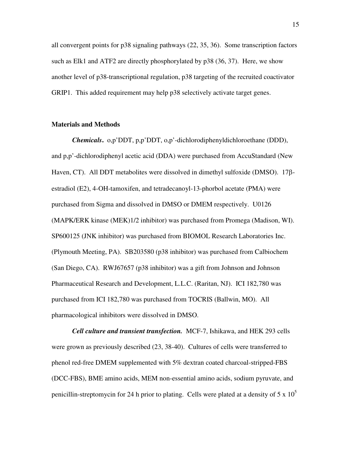all convergent points for p38 signaling pathways (22, 35, 36). Some transcription factors such as Elk1 and ATF2 are directly phosphorylated by p38 (36, 37). Here, we show another level of p38-transcriptional regulation, p38 targeting of the recruited coactivator GRIP1. This added requirement may help p38 selectively activate target genes.

## **Materials and Methods**

*Chemicals***.** o,p'DDT, p,p'DDT, o,p'-dichlorodiphenyldichloroethane (DDD), and p,p'-dichlorodiphenyl acetic acid (DDA) were purchased from AccuStandard (New Haven, CT). All DDT metabolites were dissolved in dimethyl sulfoxide (DMSO).  $17\beta$ estradiol (E2), 4-OH-tamoxifen, and tetradecanoyl-13-phorbol acetate (PMA) were purchased from Sigma and dissolved in DMSO or DMEM respectively. U0126 (MAPK/ERK kinase (MEK)1/2 inhibitor) was purchased from Promega (Madison, WI). SP600125 (JNK inhibitor) was purchased from BIOMOL Research Laboratories Inc. (Plymouth Meeting, PA). SB203580 (p38 inhibitor) was purchased from Calbiochem (San Diego, CA). RWJ67657 (p38 inhibitor) was a gift from Johnson and Johnson Pharmaceutical Research and Development, L.L.C. (Raritan, NJ). ICI 182,780 was purchased from ICI 182,780 was purchased from TOCRIS (Ballwin, MO). All pharmacological inhibitors were dissolved in DMSO.

*Cell culture and transient transfection.*MCF-7, Ishikawa, and HEK 293 cells were grown as previously described (23, 38-40). Cultures of cells were transferred to phenol red-free DMEM supplemented with 5% dextran coated charcoal-stripped-FBS (DCC-FBS), BME amino acids, MEM non-essential amino acids, sodium pyruvate, and penicillin-streptomycin for 24 h prior to plating. Cells were plated at a density of 5 x  $10^5$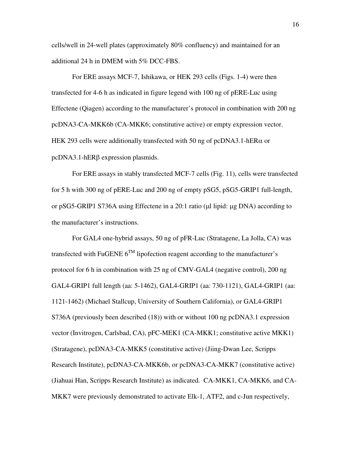cells/well in 24-well plates (approximately 80% confluency) and maintained for an additional 24 h in DMEM with 5% DCC-FBS.

For ERE assays MCF-7, Ishikawa, or HEK 293 cells (Figs. 1-4) were then transfected for 4-6 h as indicated in figure legend with 100 ng of pERE-Luc using Effectene (Qiagen) according to the manufacturer's protocol in combination with 200 ng pcDNA3-CA-MKK6b (CA-MKK6; constitutive active) or empty expression vector. HEK 293 cells were additionally transfected with 50 ng of pcDNA3.1-hER $\alpha$  or  $pcDNA3.1-hER\beta$  expression plasmids.

For ERE assays in stably transfected MCF-7 cells (Fig. 11), cells were transfected for 5 h with 300 ng of pERE-Luc and 200 ng of empty pSG5, pSG5-GRIP1 full-length, or pSG5-GRIP1 S736A using Effectene in a 20:1 ratio (µl lipid: µg DNA) according to the manufacturer's instructions.

For GAL4 one-hybrid assays, 50 ng of pFR-Luc (Stratagene, La Jolla, CA) was transfected with FuGENE  $6^{TM}$  lipofection reagent according to the manufacturer's protocol for 6 h in combination with 25 ng of CMV-GAL4 (negative control), 200 ng GAL4-GRIP1 full length (aa: 5-1462), GAL4-GRIP1 (aa: 730-1121), GAL4-GRIP1 (aa: 1121-1462) (Michael Stallcup, University of Southern California), or GAL4-GRIP1 S736A (previously been described (18)) with or without 100 ng pcDNA3.1 expression vector (Invitrogen, Carlsbad, CA), pFC-MEK1 (CA-MKK1; constitutive active MKK1) (Stratagene), pcDNA3-CA-MKK5 (constitutive active) (Jiing-Dwan Lee, Scripps Research Institute), pcDNA3-CA-MKK6b, or pcDNA3-CA-MKK7 (constitutive active) (Jiahuai Han, Scripps Research Institute) as indicated. CA-MKK1, CA-MKK6, and CA-MKK7 were previously demonstrated to activate Elk-1, ATF2, and c-Jun respectively,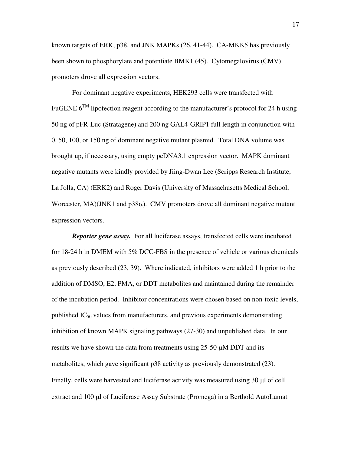known targets of ERK, p38, and JNK MAPKs (26, 41-44). CA-MKK5 has previously been shown to phosphorylate and potentiate BMK1 (45). Cytomegalovirus (CMV) promoters drove all expression vectors.

For dominant negative experiments, HEK293 cells were transfected with FuGENE  $6^{TM}$  lipofection reagent according to the manufacturer's protocol for 24 h using 50 ng of pFR-Luc (Stratagene) and 200 ng GAL4-GRIP1 full length in conjunction with 0, 50, 100, or 150 ng of dominant negative mutant plasmid. Total DNA volume was brought up, if necessary, using empty pcDNA3.1 expression vector. MAPK dominant negative mutants were kindly provided by Jiing-Dwan Lee (Scripps Research Institute, La Jolla, CA) (ERK2) and Roger Davis (University of Massachusetts Medical School, Worcester, MA)(JNK1 and p38 $\alpha$ ). CMV promoters drove all dominant negative mutant expression vectors.

**Reporter gene assay.** For all luciferase assays, transfected cells were incubated for 18-24 h in DMEM with 5% DCC-FBS in the presence of vehicle or various chemicals as previously described (23, 39). Where indicated, inhibitors were added 1 h prior to the addition of DMSO, E2, PMA, or DDT metabolites and maintained during the remainder of the incubation period. Inhibitor concentrations were chosen based on non-toxic levels, published  $IC_{50}$  values from manufacturers, and previous experiments demonstrating inhibition of known MAPK signaling pathways (27-30) and unpublished data. In our results we have shown the data from treatments using 25-50 µM DDT and its metabolites, which gave significant p38 activity as previously demonstrated (23). Finally, cells were harvested and luciferase activity was measured using 30 µl of cell extract and 100 µl of Luciferase Assay Substrate (Promega) in a Berthold AutoLumat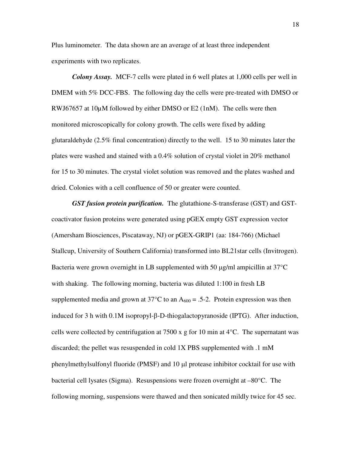Plus luminometer. The data shown are an average of at least three independent experiments with two replicates.

*Colony Assay.* MCF-7 cells were plated in 6 well plates at 1,000 cells per well in DMEM with 5% DCC-FBS. The following day the cells were pre-treated with DMSO or RWJ67657 at 10µM followed by either DMSO or E2 (1nM). The cells were then monitored microscopically for colony growth. The cells were fixed by adding glutaraldehyde (2.5% final concentration) directly to the well. 15 to 30 minutes later the plates were washed and stained with a 0.4% solution of crystal violet in 20% methanol for 15 to 30 minutes. The crystal violet solution was removed and the plates washed and dried. Colonies with a cell confluence of 50 or greater were counted.

*GST fusion protein purification.* The glutathione-S-transferase (GST) and GSTcoactivator fusion proteins were generated using pGEX empty GST expression vector (Amersham Biosciences, Piscataway, NJ) or pGEX-GRIP1 (aa: 184-766) (Michael Stallcup, University of Southern California) transformed into BL21star cells (Invitrogen). Bacteria were grown overnight in LB supplemented with 50  $\mu$ g/ml ampicillin at 37 $^{\circ}$ C with shaking. The following morning, bacteria was diluted 1:100 in fresh LB supplemented media and grown at 37 $^{\circ}$ C to an A<sub>600</sub> = .5-2. Protein expression was then induced for 3 h with  $0.1M$  isopropyl- $\beta$ -D-thiogalactopyranoside (IPTG). After induction, cells were collected by centrifugation at 7500 x g for 10 min at  $4^{\circ}$ C. The supernatant was discarded; the pellet was resuspended in cold 1X PBS supplemented with .1 mM phenylmethylsulfonyl fluoride (PMSF) and 10 µl protease inhibitor cocktail for use with bacterial cell lysates (Sigma). Resuspensions were frozen overnight at –80°C. The following morning, suspensions were thawed and then sonicated mildly twice for 45 sec.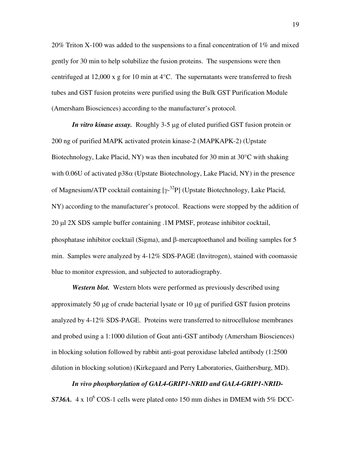20% Triton X-100 was added to the suspensions to a final concentration of  $1\%$  and mixed gently for 30 min to help solubilize the fusion proteins. The suspensions were then centrifuged at 12,000 x g for 10 min at 4°C. The supernatants were transferred to fresh tubes and GST fusion proteins were purified using the Bulk GST Purification Module (Amersham Biosciences) according to the manufacturer's protocol.

*In vitro kinase assay.*Roughly 3-5 µg of eluted purified GST fusion protein or 200 ng of purified MAPK activated protein kinase-2 (MAPKAPK-2) (Upstate Biotechnology, Lake Placid, NY) was then incubated for 30 min at 30°C with shaking with  $0.06U$  of activated  $p38\alpha$  (Upstate Biotechnology, Lake Placid, NY) in the presence of Magnesium/ATP cocktail containing  $[\gamma^{-32}P]$  (Upstate Biotechnology, Lake Placid, NY) according to the manufacturer's protocol. Reactions were stopped by the addition of 20 µl 2X SDS sample buffer containing .1M PMSF, protease inhibitor cocktail, phosphatase inhibitor cocktail (Sigma), and  $\beta$ -mercaptoethanol and boiling samples for 5 min. Samples were analyzed by 4-12% SDS-PAGE (Invitrogen), stained with coomassie blue to monitor expression, and subjected to autoradiography.

*Western blot.* Western blots were performed as previously described using approximately 50 µg of crude bacterial lysate or 10 µg of purified GST fusion proteins analyzed by 4-12% SDS-PAGE. Proteins were transferred to nitrocellulose membranes and probed using a 1:1000 dilution of Goat anti-GST antibody (Amersham Biosciences) in blocking solution followed by rabbit anti-goat peroxidase labeled antibody (1:2500 dilution in blocking solution) (Kirkegaard and Perry Laboratories, Gaithersburg, MD).

*In vivo phosphorylation of GAL4-GRIP1-NRID and GAL4-GRIP1-NRID-***S736A.** 4 x 10<sup>6</sup> COS-1 cells were plated onto 150 mm dishes in DMEM with 5% DCC-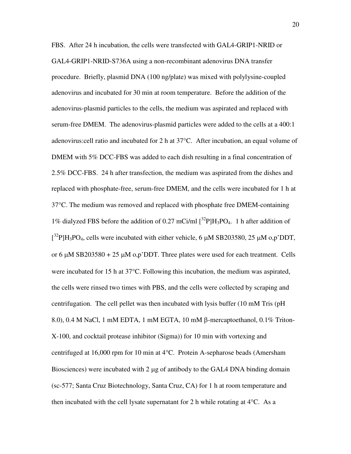FBS. After 24 h incubation, the cells were transfected with GAL4-GRIP1-NRID or GAL4-GRIP1-NRID-S736A using a non-recombinant adenovirus DNA transfer procedure. Briefly, plasmid DNA (100 ng/plate) was mixed with polylysine-coupled adenovirus and incubated for 30 min at room temperature. Before the addition of the adenovirus-plasmid particles to the cells, the medium was aspirated and replaced with serum-free DMEM. The adenovirus-plasmid particles were added to the cells at a 400:1 adenovirus:cell ratio and incubated for 2 h at 37°C. After incubation, an equal volume of DMEM with 5% DCC-FBS was added to each dish resulting in a final concentration of 2.5% DCC-FBS. 24 h after transfection, the medium was aspirated from the dishes and replaced with phosphate-free, serum-free DMEM, and the cells were incubated for 1 h at 37°C. The medium was removed and replaced with phosphate free DMEM-containing 1% dialyzed FBS before the addition of 0.27 mCi/ml  $[^{32}P]H_3PO_4$ . 1 h after addition of  $[3^{2}P]H_{3}PO_{4}$ , cells were incubated with either vehicle, 6  $\mu$ M SB203580, 25  $\mu$ M o,p'DDT, or 6  $\mu$ M SB203580 + 25  $\mu$ M o,p'DDT. Three plates were used for each treatment. Cells were incubated for 15 h at 37°C. Following this incubation, the medium was aspirated, the cells were rinsed two times with PBS, and the cells were collected by scraping and centrifugation. The cell pellet was then incubated with lysis buffer (10 mM Tris (pH 8.0), 0.4 M NaCl, 1 mM EDTA, 1 mM EGTA, 10 mM  $\beta$ -mercaptoethanol, 0.1% Triton-X-100, and cocktail protease inhibitor (Sigma)) for 10 min with vortexing and centrifuged at 16,000 rpm for 10 min at 4°C. Protein A-sepharose beads (Amersham Biosciences) were incubated with 2 µg of antibody to the GAL4 DNA binding domain (sc-577; Santa Cruz Biotechnology, Santa Cruz, CA) for 1 h at room temperature and then incubated with the cell lysate supernatant for 2 h while rotating at  $4^{\circ}$ C. As a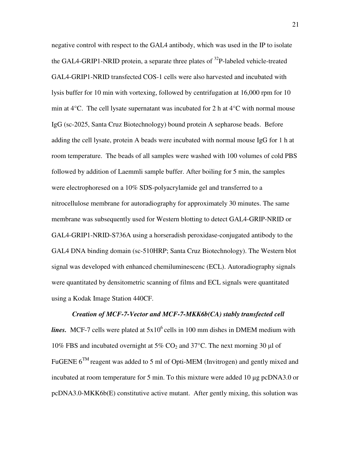negative control with respect to the GAL4 antibody, which was used in the IP to isolate the GAL4-GRIP1-NRID protein, a separate three plates of  $32P$ -labeled vehicle-treated GAL4-GRIP1-NRID transfected COS-1 cells were also harvested and incubated with lysis buffer for 10 min with vortexing, followed by centrifugation at 16,000 rpm for 10 min at  $4^{\circ}$ C. The cell lysate supernatant was incubated for 2 h at  $4^{\circ}$ C with normal mouse IgG (sc-2025, Santa Cruz Biotechnology) bound protein A sepharose beads. Before adding the cell lysate, protein A beads were incubated with normal mouse IgG for 1 h at room temperature. The beads of all samples were washed with 100 volumes of cold PBS followed by addition of Laemmli sample buffer. After boiling for 5 min, the samples were electrophoresed on a 10% SDS-polyacrylamide gel and transferred to a nitrocellulose membrane for autoradiography for approximately 30 minutes. The same membrane was subsequently used for Western blotting to detect GAL4-GRIP-NRID or GAL4-GRIP1-NRID-S736A using a horseradish peroxidase-conjugated antibody to the GAL4 DNA binding domain (sc-510HRP; Santa Cruz Biotechnology). The Western blot signal was developed with enhanced chemiluminescenc (ECL). Autoradiography signals were quantitated by densitometric scanning of films and ECL signals were quantitated using a Kodak Image Station 440CF.

#### *Creation of MCF-7-Vector and MCF-7-MKK6b(CA) stably transfected cell*

*lines.* MCF-7 cells were plated at  $5x10^6$  cells in 100 mm dishes in DMEM medium with 10% FBS and incubated overnight at 5%  $CO<sub>2</sub>$  and 37°C. The next morning 30 µl of FuGENE  $6^{TM}$  reagent was added to 5 ml of Opti-MEM (Invitrogen) and gently mixed and incubated at room temperature for 5 min. To this mixture were added 10  $\mu$ g pcDNA3.0 or pcDNA3.0-MKK6b(E) constitutive active mutant. After gently mixing, this solution was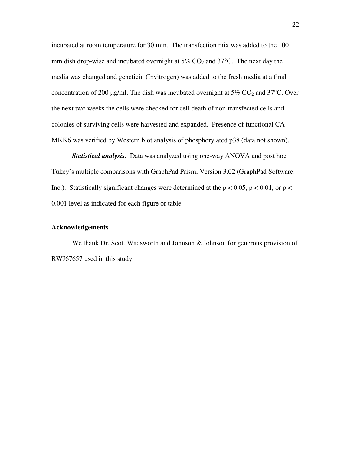incubated at room temperature for 30 min. The transfection mix was added to the 100 mm dish drop-wise and incubated overnight at  $5\%$  CO<sub>2</sub> and  $37^{\circ}$ C. The next day the media was changed and geneticin (Invitrogen) was added to the fresh media at a final concentration of 200  $\mu$ g/ml. The dish was incubated overnight at 5% CO<sub>2</sub> and 37°C. Over the next two weeks the cells were checked for cell death of non-transfected cells and colonies of surviving cells were harvested and expanded. Presence of functional CA-MKK6 was verified by Western blot analysis of phosphorylated p38 (data not shown).

*Statistical analysis.* Data was analyzed using one-way ANOVA and post hoc Tukey's multiple comparisons with GraphPad Prism, Version 3.02 (GraphPad Software, Inc.). Statistically significant changes were determined at the  $p < 0.05$ ,  $p < 0.01$ , or  $p <$ 0.001 level as indicated for each figure or table.

# **Acknowledgements**

We thank Dr. Scott Wadsworth and Johnson & Johnson for generous provision of RWJ67657 used in this study.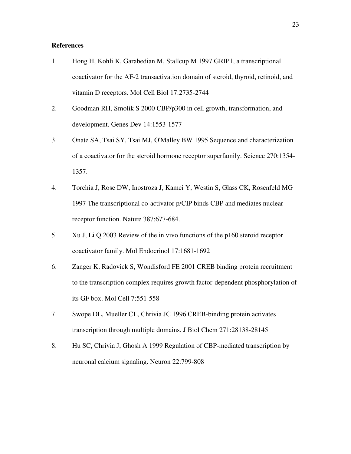# **References**

- 1. Hong H, Kohli K, Garabedian M, Stallcup M 1997 GRIP1, a transcriptional coactivator for the AF-2 transactivation domain of steroid, thyroid, retinoid, and vitamin D receptors. Mol Cell Biol 17:2735-2744
- 2. Goodman RH, Smolik S 2000 CBP/p300 in cell growth, transformation, and development. Genes Dev 14:1553-1577
- 3. Onate SA, Tsai SY, Tsai MJ, O'Malley BW 1995 Sequence and characterization of a coactivator for the steroid hormone receptor superfamily. Science 270:1354- 1357.
- 4. Torchia J, Rose DW, Inostroza J, Kamei Y, Westin S, Glass CK, Rosenfeld MG 1997 The transcriptional co-activator p/CIP binds CBP and mediates nuclearreceptor function. Nature 387:677-684.
- 5. Xu J, Li Q 2003 Review of the in vivo functions of the p160 steroid receptor coactivator family. Mol Endocrinol 17:1681-1692
- 6. Zanger K, Radovick S, Wondisford FE 2001 CREB binding protein recruitment to the transcription complex requires growth factor-dependent phosphorylation of its GF box. Mol Cell 7:551-558
- 7. Swope DL, Mueller CL, Chrivia JC 1996 CREB-binding protein activates transcription through multiple domains. J Biol Chem 271:28138-28145
- 8. Hu SC, Chrivia J, Ghosh A 1999 Regulation of CBP-mediated transcription by neuronal calcium signaling. Neuron 22:799-808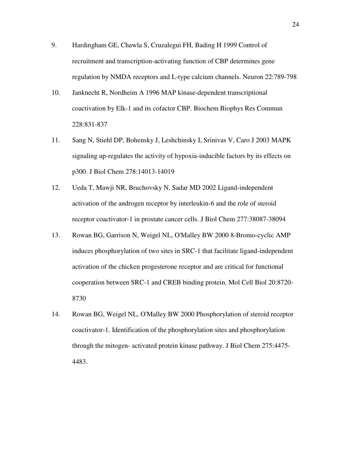- 9. Hardingham GE, Chawla S, Cruzalegui FH, Bading H 1999 Control of recruitment and transcription-activating function of CBP determines gene regulation by NMDA receptors and L-type calcium channels. Neuron 22:789-798
- 10. Janknecht R, Nordheim A 1996 MAP kinase-dependent transcriptional coactivation by Elk-1 and its cofactor CBP. Biochem Biophys Res Commun 228:831-837
- 11. Sang N, Stiehl DP, Bohensky J, Leshchinsky I, Srinivas V, Caro J 2003 MAPK signaling up-regulates the activity of hypoxia-inducible factors by its effects on p300. J Biol Chem 278:14013-14019
- 12. Ueda T, Mawji NR, Bruchovsky N, Sadar MD 2002 Ligand-independent activation of the androgen receptor by interleukin-6 and the role of steroid receptor coactivator-1 in prostate cancer cells. J Biol Chem 277:38087-38094
- 13. Rowan BG, Garrison N, Weigel NL, O'Malley BW 2000 8-Bromo-cyclic AMP induces phosphorylation of two sites in SRC-1 that facilitate ligand-independent activation of the chicken progesterone receptor and are critical for functional cooperation between SRC-1 and CREB binding protein. Mol Cell Biol 20:8720- 8730
- 14. Rowan BG, Weigel NL, O'Malley BW 2000 Phosphorylation of steroid receptor coactivator-1. Identification of the phosphorylation sites and phosphorylation through the mitogen- activated protein kinase pathway. J Biol Chem 275:4475- 4483.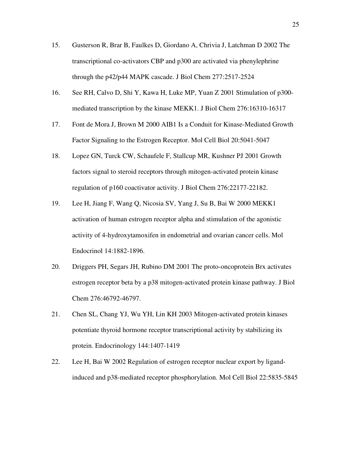- 15. Gusterson R, Brar B, Faulkes D, Giordano A, Chrivia J, Latchman D 2002 The transcriptional co-activators CBP and p300 are activated via phenylephrine through the p42/p44 MAPK cascade. J Biol Chem 277:2517-2524
- 16. See RH, Calvo D, Shi Y, Kawa H, Luke MP, Yuan Z 2001 Stimulation of p300 mediated transcription by the kinase MEKK1. J Biol Chem 276:16310-16317
- 17. Font de Mora J, Brown M 2000 AIB1 Is a Conduit for Kinase-Mediated Growth Factor Signaling to the Estrogen Receptor. Mol Cell Biol 20:5041-5047
- 18. Lopez GN, Turck CW, Schaufele F, Stallcup MR, Kushner PJ 2001 Growth factors signal to steroid receptors through mitogen-activated protein kinase regulation of p160 coactivator activity. J Biol Chem 276:22177-22182.
- 19. Lee H, Jiang F, Wang Q, Nicosia SV, Yang J, Su B, Bai W 2000 MEKK1 activation of human estrogen receptor alpha and stimulation of the agonistic activity of 4-hydroxytamoxifen in endometrial and ovarian cancer cells. Mol Endocrinol 14:1882-1896.
- 20. Driggers PH, Segars JH, Rubino DM 2001 The proto-oncoprotein Brx activates estrogen receptor beta by a p38 mitogen-activated protein kinase pathway. J Biol Chem 276:46792-46797.
- 21. Chen SL, Chang YJ, Wu YH, Lin KH 2003 Mitogen-activated protein kinases potentiate thyroid hormone receptor transcriptional activity by stabilizing its protein. Endocrinology 144:1407-1419
- 22. Lee H, Bai W 2002 Regulation of estrogen receptor nuclear export by ligandinduced and p38-mediated receptor phosphorylation. Mol Cell Biol 22:5835-5845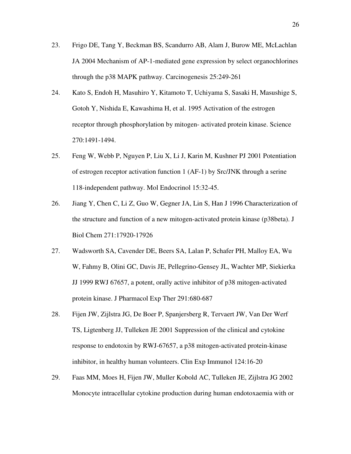- 23. Frigo DE, Tang Y, Beckman BS, Scandurro AB, Alam J, Burow ME, McLachlan JA 2004 Mechanism of AP-1-mediated gene expression by select organochlorines through the p38 MAPK pathway. Carcinogenesis 25:249-261
- 24. Kato S, Endoh H, Masuhiro Y, Kitamoto T, Uchiyama S, Sasaki H, Masushige S, Gotoh Y, Nishida E, Kawashima H, et al. 1995 Activation of the estrogen receptor through phosphorylation by mitogen- activated protein kinase. Science 270:1491-1494.
- 25. Feng W, Webb P, Nguyen P, Liu X, Li J, Karin M, Kushner PJ 2001 Potentiation of estrogen receptor activation function 1 (AF-1) by Src/JNK through a serine 118-independent pathway. Mol Endocrinol 15:32-45.
- 26. Jiang Y, Chen C, Li Z, Guo W, Gegner JA, Lin S, Han J 1996 Characterization of the structure and function of a new mitogen-activated protein kinase (p38beta). J Biol Chem 271:17920-17926
- 27. Wadsworth SA, Cavender DE, Beers SA, Lalan P, Schafer PH, Malloy EA, Wu W, Fahmy B, Olini GC, Davis JE, Pellegrino-Gensey JL, Wachter MP, Siekierka JJ 1999 RWJ 67657, a potent, orally active inhibitor of p38 mitogen-activated protein kinase. J Pharmacol Exp Ther 291:680-687
- 28. Fijen JW, Zijlstra JG, De Boer P, Spanjersberg R, Tervaert JW, Van Der Werf TS, Ligtenberg JJ, Tulleken JE 2001 Suppression of the clinical and cytokine response to endotoxin by RWJ-67657, a p38 mitogen-activated protein-kinase inhibitor, in healthy human volunteers. Clin Exp Immunol 124:16-20
- 29. Faas MM, Moes H, Fijen JW, Muller Kobold AC, Tulleken JE, Zijlstra JG 2002 Monocyte intracellular cytokine production during human endotoxaemia with or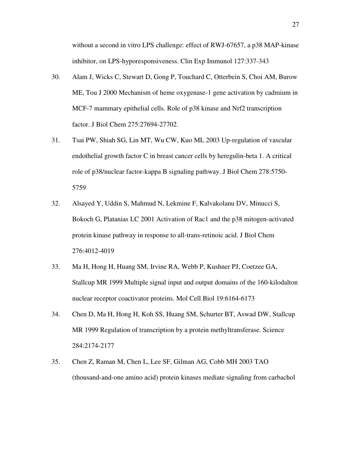without a second in vitro LPS challenge: effect of RWJ-67657, a p38 MAP-kinase inhibitor, on LPS-hyporesponsiveness. Clin Exp Immunol 127:337-343

- 30. Alam J, Wicks C, Stewart D, Gong P, Touchard C, Otterbein S, Choi AM, Burow ME, Tou J 2000 Mechanism of heme oxygenase-1 gene activation by cadmium in MCF-7 mammary epithelial cells. Role of p38 kinase and Nrf2 transcription factor. J Biol Chem 275:27694-27702.
- 31. Tsai PW, Shiah SG, Lin MT, Wu CW, Kuo ML 2003 Up-regulation of vascular endothelial growth factor C in breast cancer cells by heregulin-beta 1. A critical role of p38/nuclear factor-kappa B signaling pathway. J Biol Chem 278:5750- 5759
- 32. Alsayed Y, Uddin S, Mahmud N, Lekmine F, Kalvakolanu DV, Minucci S, Bokoch G, Platanias LC 2001 Activation of Rac1 and the p38 mitogen-activated protein kinase pathway in response to all-trans-retinoic acid. J Biol Chem 276:4012-4019
- 33. Ma H, Hong H, Huang SM, Irvine RA, Webb P, Kushner PJ, Coetzee GA, Stallcup MR 1999 Multiple signal input and output domains of the 160-kilodalton nuclear receptor coactivator proteins. Mol Cell Biol 19:6164-6173
- 34. Chen D, Ma H, Hong H, Koh SS, Huang SM, Schurter BT, Aswad DW, Stallcup MR 1999 Regulation of transcription by a protein methyltransferase. Science 284:2174-2177
- 35. Chen Z, Raman M, Chen L, Lee SF, Gilman AG, Cobb MH 2003 TAO (thousand-and-one amino acid) protein kinases mediate signaling from carbachol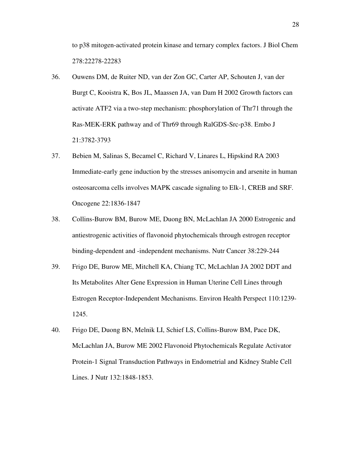to p38 mitogen-activated protein kinase and ternary complex factors. J Biol Chem 278:22278-22283

- 36. Ouwens DM, de Ruiter ND, van der Zon GC, Carter AP, Schouten J, van der Burgt C, Kooistra K, Bos JL, Maassen JA, van Dam H 2002 Growth factors can activate ATF2 via a two-step mechanism: phosphorylation of Thr71 through the Ras-MEK-ERK pathway and of Thr69 through RalGDS-Src-p38. Embo J 21:3782-3793
- 37. Bebien M, Salinas S, Becamel C, Richard V, Linares L, Hipskind RA 2003 Immediate-early gene induction by the stresses anisomycin and arsenite in human osteosarcoma cells involves MAPK cascade signaling to Elk-1, CREB and SRF. Oncogene 22:1836-1847
- 38. Collins-Burow BM, Burow ME, Duong BN, McLachlan JA 2000 Estrogenic and antiestrogenic activities of flavonoid phytochemicals through estrogen receptor binding-dependent and -independent mechanisms. Nutr Cancer 38:229-244
- 39. Frigo DE, Burow ME, Mitchell KA, Chiang TC, McLachlan JA 2002 DDT and Its Metabolites Alter Gene Expression in Human Uterine Cell Lines through Estrogen Receptor-Independent Mechanisms. Environ Health Perspect 110:1239- 1245.
- 40. Frigo DE, Duong BN, Melnik LI, Schief LS, Collins-Burow BM, Pace DK, McLachlan JA, Burow ME 2002 Flavonoid Phytochemicals Regulate Activator Protein-1 Signal Transduction Pathways in Endometrial and Kidney Stable Cell Lines. J Nutr 132:1848-1853.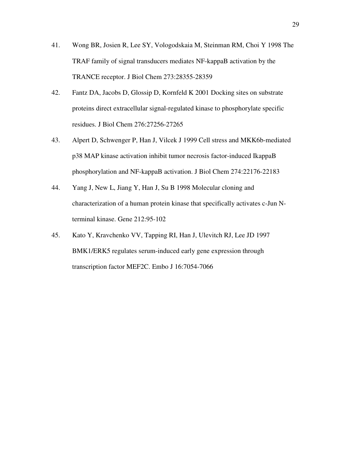- 41. Wong BR, Josien R, Lee SY, Vologodskaia M, Steinman RM, Choi Y 1998 The TRAF family of signal transducers mediates NF-kappaB activation by the TRANCE receptor. J Biol Chem 273:28355-28359
- 42. Fantz DA, Jacobs D, Glossip D, Kornfeld K 2001 Docking sites on substrate proteins direct extracellular signal-regulated kinase to phosphorylate specific residues. J Biol Chem 276:27256-27265
- 43. Alpert D, Schwenger P, Han J, Vilcek J 1999 Cell stress and MKK6b-mediated p38 MAP kinase activation inhibit tumor necrosis factor-induced IkappaB phosphorylation and NF-kappaB activation. J Biol Chem 274:22176-22183
- 44. Yang J, New L, Jiang Y, Han J, Su B 1998 Molecular cloning and characterization of a human protein kinase that specifically activates c-Jun Nterminal kinase. Gene 212:95-102
- 45. Kato Y, Kravchenko VV, Tapping RI, Han J, Ulevitch RJ, Lee JD 1997 BMK1/ERK5 regulates serum-induced early gene expression through transcription factor MEF2C. Embo J 16:7054-7066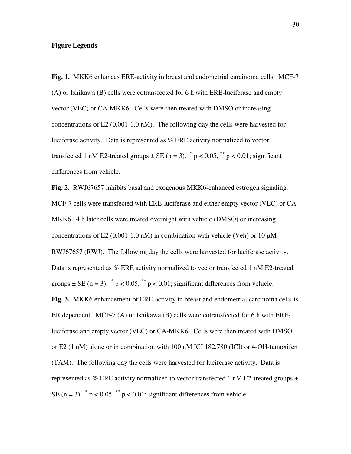# **Figure Legends**

**Fig. 1.** MKK6 enhances ERE-activity in breast and endometrial carcinoma cells. MCF-7 (A) or Ishikawa (B) cells were cotransfected for 6 h with ERE-luciferase and empty vector (VEC) or CA-MKK6. Cells were then treated with DMSO or increasing concentrations of E2 (0.001-1.0 nM). The following day the cells were harvested for luciferase activity. Data is represented as % ERE activity normalized to vector transfected 1 nM E2-treated groups  $\pm$  SE (n = 3).  $\degree$  p < 0.05,  $\degree$  p < 0.01; significant differences from vehicle.

**Fig. 2.** RWJ67657 inhibits basal and exogenous MKK6-enhanced estrogen signaling. MCF-7 cells were transfected with ERE-luciferase and either empty vector (VEC) or CA-MKK6. 4 h later cells were treated overnight with vehicle (DMSO) or increasing concentrations of E2 (0.001-1.0 nM) in combination with vehicle (Veh) or 10  $\mu$ M RWJ67657 (RWJ). The following day the cells were harvested for luciferase activity. Data is represented as % ERE activity normalized to vector transfected 1 nM E2-treated groups  $\pm$  SE (n = 3).  $\degree$  p < 0.05,  $\degree$  p < 0.01; significant differences from vehicle. **Fig. 3.** MKK6 enhancement of ERE-activity in breast and endometrial carcinoma cells is ER dependent. MCF-7 (A) or Ishikawa (B) cells were cotransfected for 6 h with EREluciferase and empty vector (VEC) or CA-MKK6. Cells were then treated with DMSO or E2 (1 nM) alone or in combination with 100 nM ICI 182,780 (ICI) or 4-OH-tamoxifen (TAM). The following day the cells were harvested for luciferase activity. Data is represented as % ERE activity normalized to vector transfected 1 nM E2-treated groups  $\pm$ SE (n = 3).  $\degree$  p < 0.05,  $\degree$  p < 0.01; significant differences from vehicle.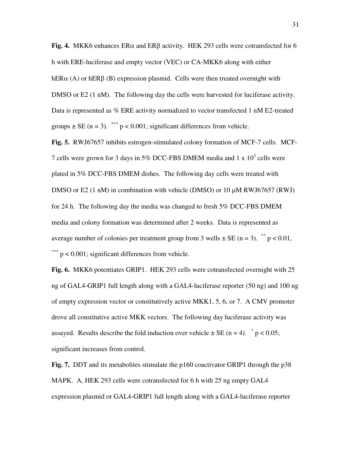**Fig. 4.** MKK6 enhances  $ER\alpha$  and  $ER\beta$  activity. HEK 293 cells were cotransfected for 6 h with ERE-luciferase and empty vector (VEC) or CA-MKK6 along with either hER $\alpha$  (A) or hER $\beta$  (B) expression plasmid. Cells were then treated overnight with DMSO or E2 (1 nM). The following day the cells were harvested for luciferase activity. Data is represented as % ERE activity normalized to vector transfected 1 nM E2-treated groups  $\pm$  SE (n = 3). \*\*\* p < 0.001; significant differences from vehicle.

**Fig. 5.** RWJ67657 inhibits estrogen-stimulated colony formation of MCF-7 cells. MCF-7 cells were grown for 3 days in 5% DCC-FBS DMEM media and 1 x  $10<sup>3</sup>$  cells were plated in 5% DCC-FBS DMEM dishes. The following day cells were treated with DMSO or E2 (1 nM) in combination with vehicle (DMSO) or 10  $\mu$ M RWJ67657 (RWJ) for 24 h. The following day the media was changed to fresh 5% DCC-FBS DMEM media and colony formation was determined after 2 weeks. Data is represented as average number of colonies per treatment group from 3 wells  $\pm$  SE (n = 3). <sup>\*\*</sup> p < 0.01, \*\*\* p < 0.001; significant differences from vehicle.

**Fig. 6.** MKK6 potentiates GRIP1. HEK 293 cells were cotransfected overnight with 25 ng of GAL4-GRIP1 full length along with a GAL4-luciferase reporter (50 ng) and 100 ng of empty expression vector or constitutively active MKK1, 5, 6, or 7. A CMV promoter drove all constitutive active MKK vectors. The following day luciferase activity was assayed. Results describe the fold induction over vehicle  $\pm$  SE (n = 4).  $\degree$  p < 0.05; significant increases from control.

**Fig. 7.** DDT and its metabolites stimulate the p160 coactivator GRIP1 through the p38 MAPK. A, HEK 293 cells were cotransfected for 6 h with 25 ng empty GAL4 expression plasmid or GAL4-GRIP1 full length along with a GAL4-luciferase reporter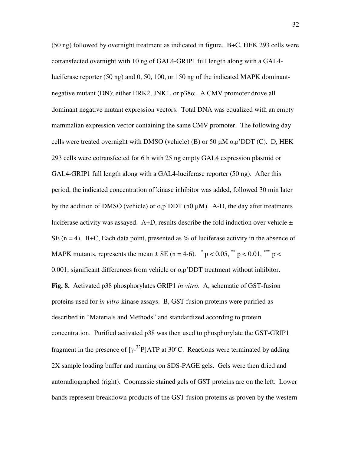(50 ng) followed by overnight treatment as indicated in figure. B+C, HEK 293 cells were cotransfected overnight with 10 ng of GAL4-GRIP1 full length along with a GAL4 luciferase reporter (50 ng) and 0, 50, 100, or 150 ng of the indicated MAPK dominantnegative mutant (DN); either ERK2, JNK1, or  $p38\alpha$ . A CMV promoter drove all dominant negative mutant expression vectors. Total DNA was equalized with an empty mammalian expression vector containing the same CMV promoter. The following day cells were treated overnight with DMSO (vehicle) (B) or 50  $\mu$ M o,p'DDT (C). D, HEK 293 cells were cotransfected for 6 h with 25 ng empty GAL4 expression plasmid or GAL4-GRIP1 full length along with a GAL4-luciferase reporter (50 ng). After this period, the indicated concentration of kinase inhibitor was added, followed 30 min later by the addition of DMSO (vehicle) or  $o,p'DDT(50 \mu M)$ . A-D, the day after treatments luciferase activity was assayed. A+D, results describe the fold induction over vehicle  $\pm$ SE ( $n = 4$ ). B+C, Each data point, presented as % of luciferase activity in the absence of MAPK mutants, represents the mean  $\pm$  SE (n = 4-6).  $\degree$  p < 0.05,  $\degree$  p < 0.01,  $\degree$  = p < 0.001; significant differences from vehicle or o,p'DDT treatment without inhibitor. **Fig. 8.** Activated p38 phosphorylates GRIP1 *in vitro*. A, schematic of GST-fusion proteins used for *in vitro* kinase assays. B, GST fusion proteins were purified as described in "Materials and Methods" and standardized according to protein concentration. Purified activated p38 was then used to phosphorylate the GST-GRIP1 fragment in the presence of  $[\gamma^{-32}P]ATP$  at 30°C. Reactions were terminated by adding 2X sample loading buffer and running on SDS-PAGE gels. Gels were then dried and autoradiographed (right). Coomassie stained gels of GST proteins are on the left. Lower bands represent breakdown products of the GST fusion proteins as proven by the western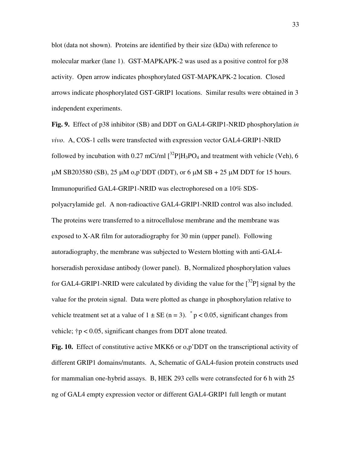blot (data not shown). Proteins are identified by their size (kDa) with reference to molecular marker (lane 1). GST-MAPKAPK-2 was used as a positive control for p38 activity. Open arrow indicates phosphorylated GST-MAPKAPK-2 location. Closed arrows indicate phosphorylated GST-GRIP1 locations. Similar results were obtained in 3 independent experiments.

**Fig. 9.** Effect of p38 inhibitor (SB) and DDT on GAL4-GRIP1-NRID phosphorylation *in vivo*. A, COS-1 cells were transfected with expression vector GAL4-GRIP1-NRID followed by incubation with 0.27 mCi/ml  $[^{32}P]H_3PO_4$  and treatment with vehicle (Veh), 6  $\mu$ M SB203580 (SB), 25  $\mu$ M o,p'DDT (DDT), or 6  $\mu$ M SB + 25  $\mu$ M DDT for 15 hours. Immunopurified GAL4-GRIP1-NRID was electrophoresed on a 10% SDSpolyacrylamide gel. A non-radioactive GAL4-GRIP1-NRID control was also included. The proteins were transferred to a nitrocellulose membrane and the membrane was exposed to X-AR film for autoradiography for 30 min (upper panel). Following autoradiography, the membrane was subjected to Western blotting with anti-GAL4 horseradish peroxidase antibody (lower panel). B, Normalized phosphorylation values for GAL4-GRIP1-NRID were calculated by dividing the value for the  $[32P]$  signal by the value for the protein signal. Data were plotted as change in phosphorylation relative to vehicle treatment set at a value of  $1 \pm SE$  (n = 3).  $p < 0.05$ , significant changes from vehicle;  $\uparrow p < 0.05$ , significant changes from DDT alone treated.

**Fig. 10.** Effect of constitutive active MKK6 or o,p'DDT on the transcriptional activity of different GRIP1 domains/mutants. A, Schematic of GAL4-fusion protein constructs used for mammalian one-hybrid assays. B, HEK 293 cells were cotransfected for 6 h with 25 ng of GAL4 empty expression vector or different GAL4-GRIP1 full length or mutant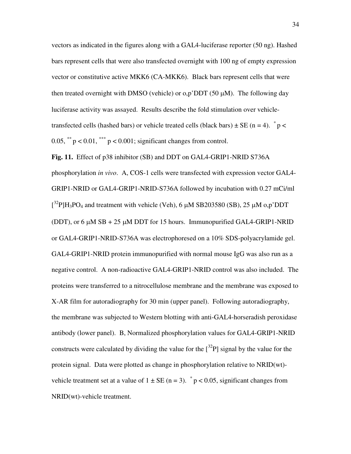vectors as indicated in the figures along with a GAL4-luciferase reporter (50 ng). Hashed bars represent cells that were also transfected overnight with 100 ng of empty expression vector or constitutive active MKK6 (CA-MKK6). Black bars represent cells that were then treated overnight with DMSO (vehicle) or  $o,p'$ DDT (50  $\mu$ M). The following day luciferase activity was assayed. Results describe the fold stimulation over vehicletransfected cells (hashed bars) or vehicle treated cells (black bars)  $\pm$  SE (n = 4).  $\degree$  p < 0.05,  $*$   $p$  < 0.01,  $*$   $p$  < 0.001; significant changes from control.

**Fig. 11.** Effect of p38 inhibitor (SB) and DDT on GAL4-GRIP1-NRID S736A phosphorylation *in vivo*. A, COS-1 cells were transfected with expression vector GAL4- GRIP1-NRID or GAL4-GRIP1-NRID-S736A followed by incubation with 0.27 mCi/ml  $[3^{2}P]H_{3}PO_{4}$  and treatment with vehicle (Veh), 6  $\mu$ M SB203580 (SB), 25  $\mu$ M o,p'DDT (DDT), or 6  $\mu$ M SB + 25  $\mu$ M DDT for 15 hours. Immunopurified GAL4-GRIP1-NRID or GAL4-GRIP1-NRID-S736A was electrophoresed on a 10% SDS-polyacrylamide gel. GAL4-GRIP1-NRID protein immunopurified with normal mouse IgG was also run as a negative control. A non-radioactive GAL4-GRIP1-NRID control was also included. The proteins were transferred to a nitrocellulose membrane and the membrane was exposed to X-AR film for autoradiography for 30 min (upper panel). Following autoradiography, the membrane was subjected to Western blotting with anti-GAL4-horseradish peroxidase antibody (lower panel). B, Normalized phosphorylation values for GAL4-GRIP1-NRID constructs were calculated by dividing the value for the  $[32P]$  signal by the value for the protein signal. Data were plotted as change in phosphorylation relative to NRID(wt) vehicle treatment set at a value of  $1 \pm SE$  (n = 3). \* p < 0.05, significant changes from NRID(wt)-vehicle treatment.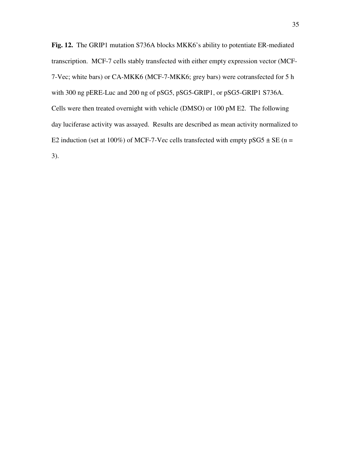**Fig. 12.** The GRIP1 mutation S736A blocks MKK6's ability to potentiate ER-mediated transcription. MCF-7 cells stably transfected with either empty expression vector (MCF-7-Vec; white bars) or CA-MKK6 (MCF-7-MKK6; grey bars) were cotransfected for 5 h with 300 ng pERE-Luc and 200 ng of pSG5, pSG5-GRIP1, or pSG5-GRIP1 S736A. Cells were then treated overnight with vehicle (DMSO) or 100 pM E2. The following day luciferase activity was assayed. Results are described as mean activity normalized to E2 induction (set at 100%) of MCF-7-Vec cells transfected with empty  $pSG5 \pm SE$  (n = 3).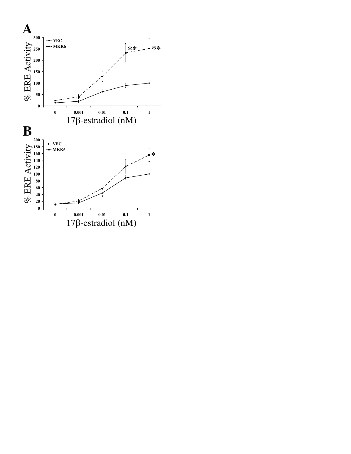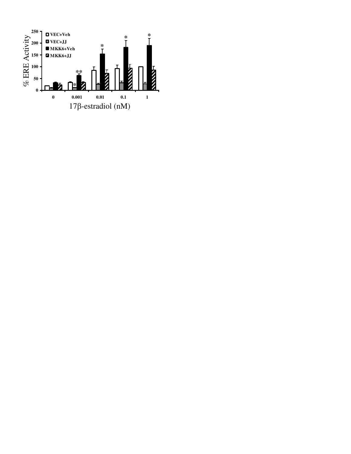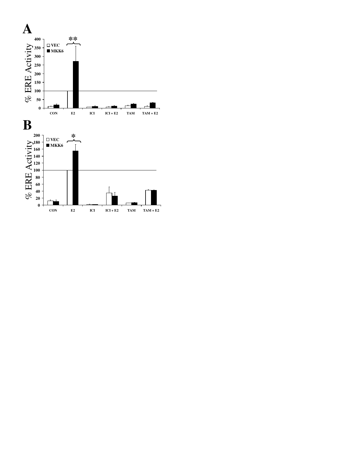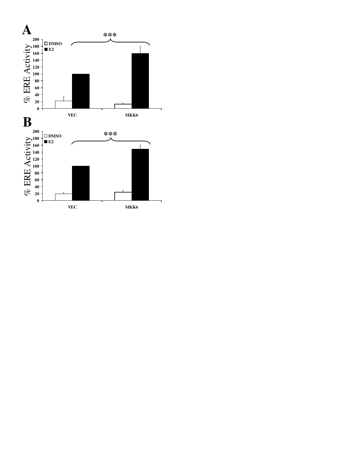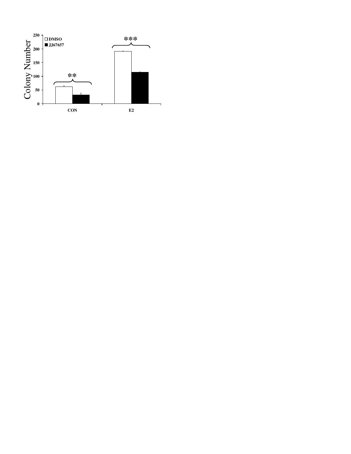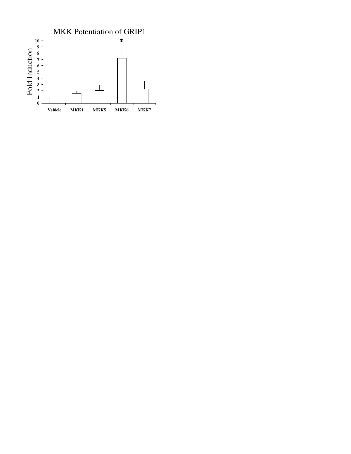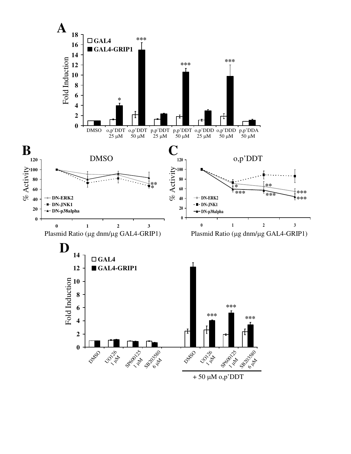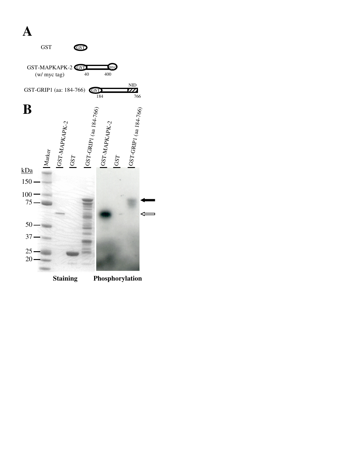# **A**

|                        | <b>GST</b>                        |               |     | GST                         |               |     |                                     |  |
|------------------------|-----------------------------------|---------------|-----|-----------------------------|---------------|-----|-------------------------------------|--|
|                        | GST-MAPKAPK-2 GST<br>(w/ myc tag) |               |     | 40                          | 400           | my  | ND                                  |  |
|                        |                                   |               |     | GST-GRIP1 (aa: 184-766) GST | 184           |     | 77<br>766                           |  |
| B<br>$\underline{kDa}$ | Marker                            | GST-MAPKAPK-2 | GST | 1GST-GRIP1 (aa 184-766)     | GST-MAPKAPK-2 | GST | $^{1GST\text{-}GRIP1}$ (aa 184-766) |  |
| 150                    |                                   |               |     |                             |               |     |                                     |  |
| 100<br>75              |                                   |               |     |                             |               |     |                                     |  |
| 50                     |                                   |               |     |                             |               |     |                                     |  |
| 37                     |                                   |               |     |                             |               |     |                                     |  |
| 25<br>20               |                                   |               |     |                             |               |     |                                     |  |

**Staining Phosphorylation**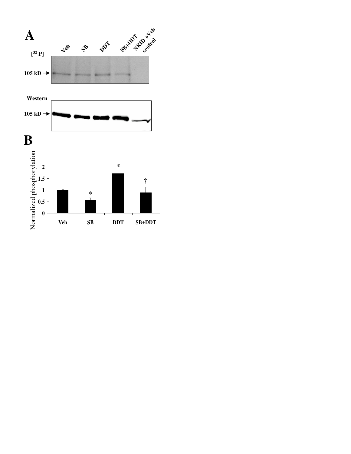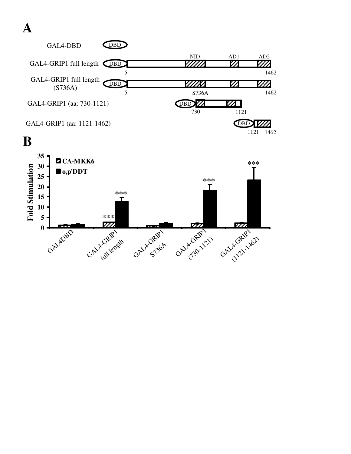





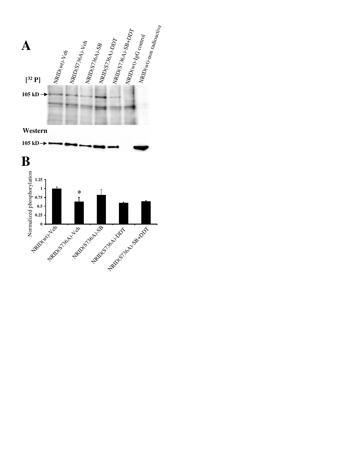